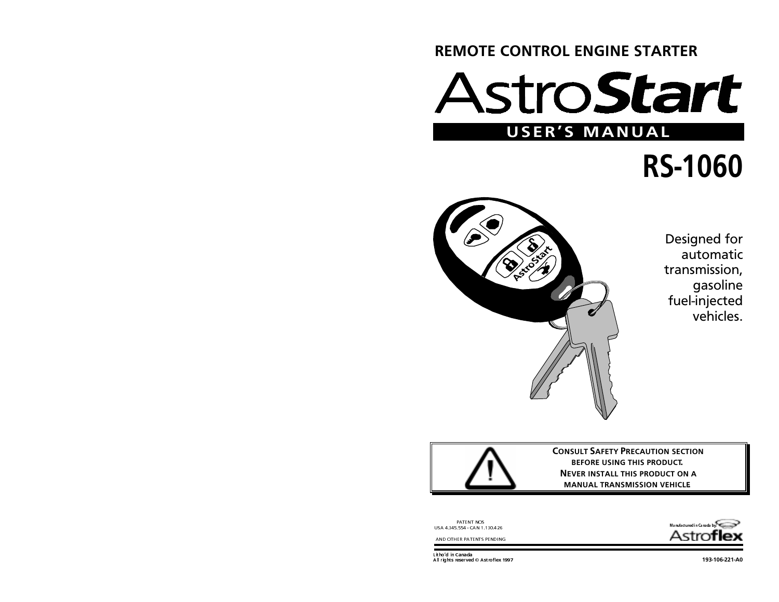# **REMOTE CONTROL ENGINE STARTER**

# stro**Start** USER'S MANUAL

# **RS-1060**



Designed for automatic transmission, qasoline fuel-injected  $v$ ehicles



**CONSULT SAFETY PRECAUTION SECTION** BEFORE USING THIS PRODUCT. NEVER INSTALL THIS PRODUCT ON A MANUAL TRANSMISSION VEHICLE



PATENT NOS<br>U SA 4.345.554 - CAN 1.130.426

AND OTHER PATENTS PENDING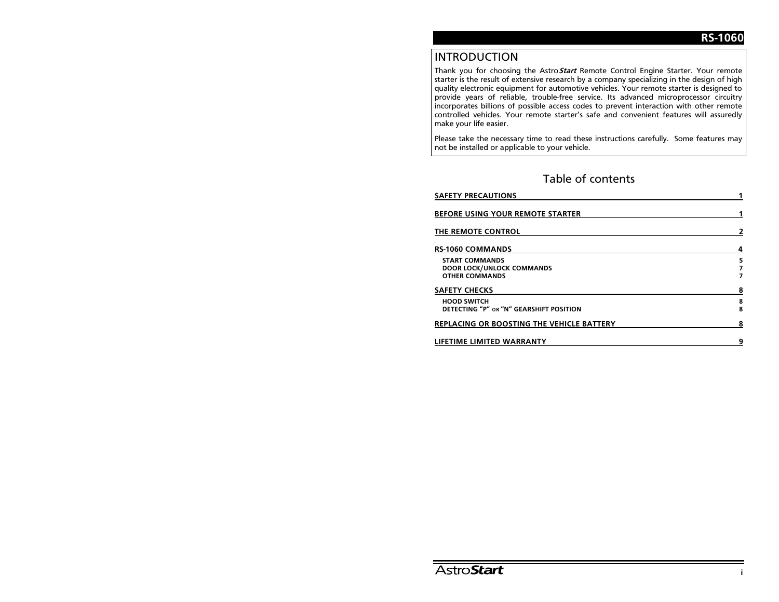# **INTRODUCTION**

Thank you for choosing the Astro Start Remote Control Engine Starter. Your remote starter is the result of extensive research by a company specializing in the design of high quality electronic equipment for automotive vehicles. Your remote starter is designed to provide years of reliable, trouble-free service. Its advanced microprocessor circuitry incorporates billions of possible access codes to prevent interaction with other remote controlled vehicles. Your remote starter's safe and convenient features will assuredly make your life easier.

Please take the necessary time to read these instructions carefully. Some features may not be installed or applicable to your vehicle.

# Table of contents

| <b>SAFETY PRECAUTIONS</b>                                                          |        |  |
|------------------------------------------------------------------------------------|--------|--|
| <b>BEFORE USING YOUR REMOTE STARTER</b>                                            |        |  |
| THE REMOTE CONTROL                                                                 | 2      |  |
| RS-1060 COMMANDS                                                                   | 4      |  |
| <b>START COMMANDS</b><br><b>DOOR LOCK/UNLOCK COMMANDS</b><br><b>OTHER COMMANDS</b> | 5      |  |
| <b>SAFETY CHECKS</b>                                                               | 8      |  |
| <b>HOOD SWITCH</b><br>DETECTING "P" OR "N" GEARSHIFT POSITION                      | 8<br>8 |  |
| REPLACING OR BOOSTING THE VEHICLE BATTERY                                          |        |  |
| LIFETIME LIMITED WARRANTY                                                          | 9      |  |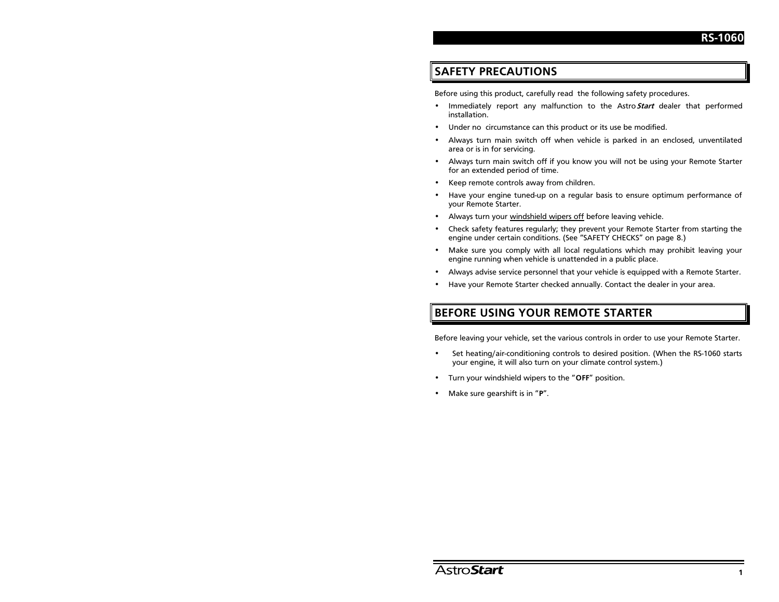# **SAFETY PRECAUTIONS**

Before using this product, carefully read the following safety procedures.

- Immediately report any malfunction to the Astro Start dealer that performed installation.
- Under no circumstance can this product or its use be modified.
- Always turn main switch off when vehicle is parked in an enclosed, unventilated area or is in for servicing.
- Always turn main switch off if you know you will not be using your Remote Starter for an extended period of time.
- Keep remote controls away from children.
- Have your engine tuned-up on a regular basis to ensure optimum performance of your Remote Starter.
- Always turn your windshield wipers off before leaving vehicle.
- Check safety features regularly; they prevent your Remote Starter from starting the engine under certain conditions. (See "SAFETY CHECKS" on page 8.)
- Make sure you comply with all local regulations which may prohibit leaving your engine running when vehicle is unattended in a public place.
- Always advise service personnel that your vehicle is equipped with a Remote Starter.
- Have your Remote Starter checked annually. Contact the dealer in your area.

# BEFORE USING YOUR REMOTE STARTER

Before leaving your vehicle, set the various controls in order to use your Remote Starter.

- Set heating/air-conditioning controls to desired position. (When the RS-1060 starts your engine, it will also turn on your climate control system.)
- Turn your windshield wipers to the "OFF" position.
- Make sure gearshift is in "P".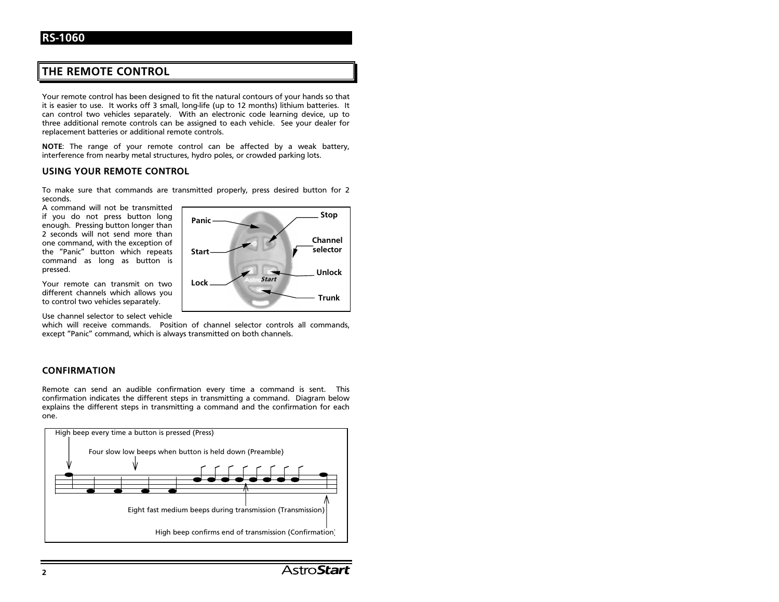# THE REMOTE CONTROL

Your remote control has been designed to fit the natural contours of your hands so that it is easier to use. It works off 3 small, long-life (up to 12 months) lithium batteries. It can control two vehicles separately. With an electronic code learning device, up to three additional remote controls can be assigned to each vehicle. See your dealer for replacement batteries or additional remote controls.

NOTE: The range of your remote control can be affected by a weak battery, interference from nearby metal structures, hydro poles, or crowded parking lots.

#### USING YOUR REMOTE CONTROL

To make sure that commands are transmitted properly, press desired button for 2 seconds.

A command will not be transmitted if you do not press button long enough. Pressing button longer than 2 seconds will not send more than one command, with the exception of the "Panic" button which repeats command as long as button is pressed.

Your remote can transmit on two different channels which allows you to control two vehicles separately.

Use channel selector to select vehicle

which will receive commands. Position of channel selector controls all commands, except "Panic" command, which is always transmitted on both channels.

#### **CONFIRMATION**

Remote can send an audible confirmation every time a command is sent. This confirmation indicates the different steps in transmitting a command. Diagram below explains the different steps in transmitting a command and the confirmation for each one.



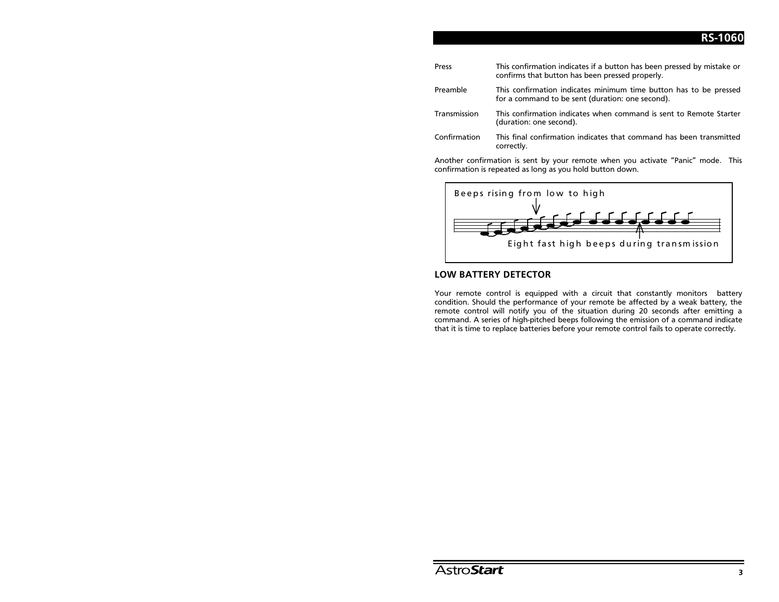| Press        | This confirmation indicates if a button has been pressed by mistake or<br>confirms that button has been pressed properly. |
|--------------|---------------------------------------------------------------------------------------------------------------------------|
| Preamble     | This confirmation indicates minimum time button has to be pressed<br>for a command to be sent (duration: one second).     |
| Transmission | This confirmation indicates when command is sent to Remote Starter<br>(duration: one second).                             |
| Confirmation | This final confirmation indicates that command has been transmitted<br>correctly.                                         |

Another confirmation is sent by your remote when you activate "Panic" mode. This confirmation is repeated as long as you hold button down.



## **LOW BATTERY DETECTOR**

Your remote control is equipped with a circuit that constantly monitors battery condition. Should the performance of your remote be affected by a weak battery, the remote control will notify you of the situation during 20 seconds after emitting a command. A series of high-pitched beeps following the emission of a command indicate that it is time to replace batteries before your remote control fails to operate correctly.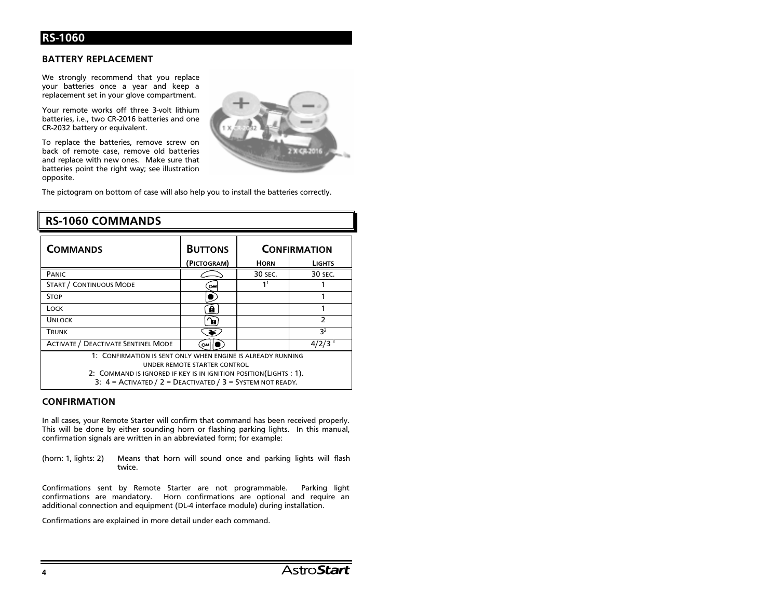### **BATTERY REPLACEMENT**

We strongly recommend that you replace your batteries once a year and keep a replacement set in your glove compartment.

Your remote works off three 3-volt lithium batteries, i.e., two CR-2016 batteries and one CR-2032 battery or equivalent.

To replace the batteries, remove screw on back of remote case, remove old batteries and replace with new ones. Make sure that batteries point the right way; see illustration opposite.



The pictogram on bottom of case will also help you to install the batteries correctly.

| <b>COMMANDS</b>                                                                                                                                                                                                                       | <b>BUTTONS</b>        | <b>CONFIRMATION</b> |                |  |
|---------------------------------------------------------------------------------------------------------------------------------------------------------------------------------------------------------------------------------------|-----------------------|---------------------|----------------|--|
|                                                                                                                                                                                                                                       | (PICTOGRAM)           | <b>HORN</b>         | <b>LIGHTS</b>  |  |
| PANIC                                                                                                                                                                                                                                 |                       | 30 SEC.             | 30 SEC.        |  |
| <b>START / CONTINUOUS MODE</b>                                                                                                                                                                                                        | $\sim$                | 11                  |                |  |
| <b>STOP</b>                                                                                                                                                                                                                           |                       |                     |                |  |
| LOCK                                                                                                                                                                                                                                  | ê                     |                     |                |  |
| <b>UNLOCK</b>                                                                                                                                                                                                                         | ிதா                   |                     | $\mathcal{P}$  |  |
| TRUNK                                                                                                                                                                                                                                 | $\blacktriangleright$ |                     | 3 <sup>2</sup> |  |
| <b>ACTIVATE / DEACTIVATE SENTINEL MODE</b>                                                                                                                                                                                            | ⊶                     |                     | $4/2/3^{3}$    |  |
| 1: CONFIRMATION IS SENT ONLY WHEN ENGINE IS ALREADY RUNNING<br>UNDER REMOTE STARTER CONTROL<br>2: COMMAND IS IGNORED IF KEY IS IN IGNITION POSITION (LIGHTS : 1).<br>3: $4 =$ ACTIVATED / $2 =$ DEACTIVATED / $3 =$ SYSTEM NOT READY. |                       |                     |                |  |

# **RS-1060 COMMANDS**

#### **CONFIRMATION**

In all cases, your Remote Starter will confirm that command has been received properly. This will be done by either sounding horn or flashing parking lights. In this manual, confirmation signals are written in an abbreviated form; for example:

(horn: 1, lights: 2) Means that horn will sound once and parking lights will flash twice.

Confirmations sent by Remote Starter are not programmable. Parking light confirmations are mandatory. Horn confirmations are optional and require an additional connection and equipment (DL-4 interface module) during installation.

Confirmations are explained in more detail under each command.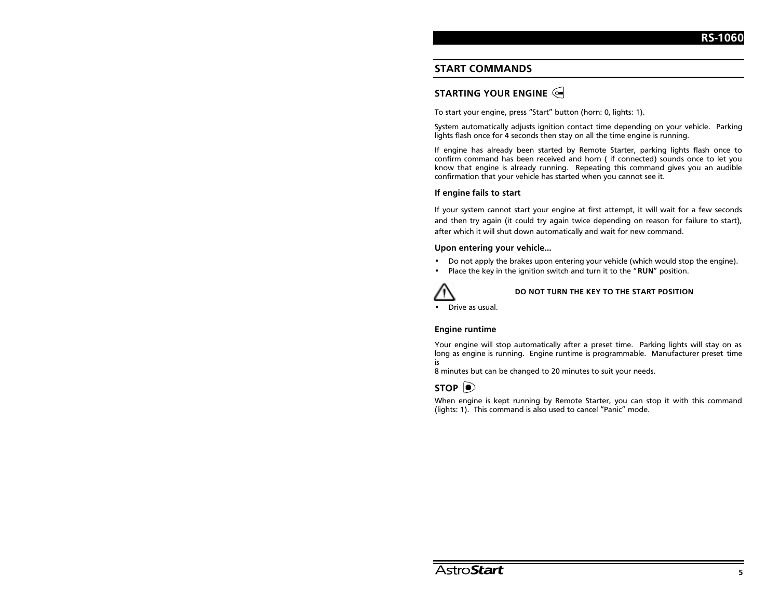## **START COMMANDS**

# STARTING YOUR ENGINE  $\triangleleft$

To start your engine, press "Start" button (horn: 0, lights: 1).

System automatically adjusts ignition contact time depending on your vehicle. Parking lights flash once for 4 seconds then stay on all the time engine is running.

If engine has already been started by Remote Starter, parking lights flash once to confirm command has been received and horn ( if connected) sounds once to let you know that engine is already running. Repeating this command gives you an audible confirmation that your vehicle has started when you cannot see it.

#### If engine fails to start

If your system cannot start your engine at first attempt, it will wait for a few seconds and then try again (it could try again twice depending on reason for failure to start), after which it will shut down automatically and wait for new command.

#### Upon entering your vehicle...

- •Do not apply the brakes upon entering your vehicle (which would stop the engine).
- •Place the key in the ignition switch and turn it to the "RUN" position.



#### DO NOT TURN THE KEY TO THE START POSITION

•Drive as usual.

#### **Engine runtime**

Your engine will stop automatically after a preset time. Parking lights will stav on as long as engine is running. Engine runtime is programmable. Manufacturer preset time i٢

8 minutes but can be changed to 20 minutes to suit your needs.

# STOP  $| \bullet \rangle$

When engine is kept running by Remote Starter, you can stop it with this command (lights: 1). This command is also used to cancel "Panic" mode.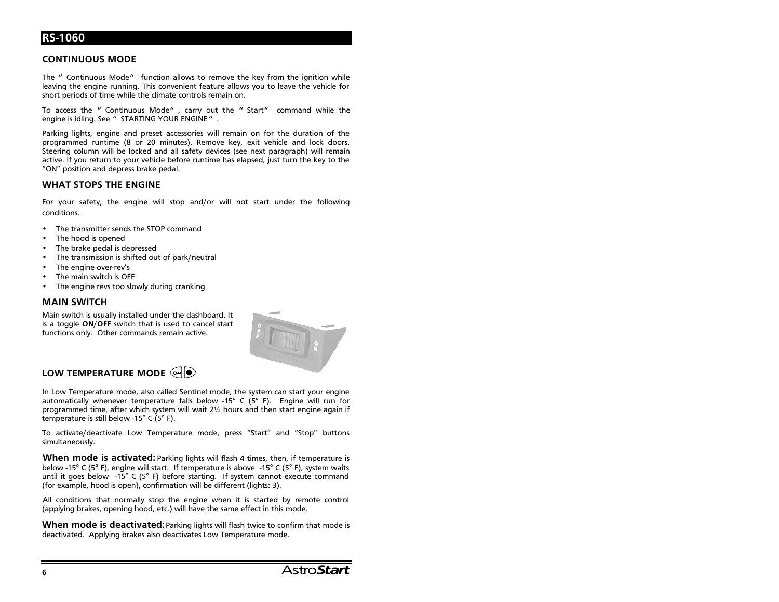## **CONTINUOUS MODE**

The " Continuous Mode" function allows to remove the key from the ignition while leaving the engine running. This convenient feature allows you to leave the vehicle for short periods of time while the climate controls remain on.

To access the " Continuous Mode", carry out the " Start" command while the engine is idling. See " STARTING YOUR ENGINE".

Parking lights, engine and preset accessories will remain on for the duration of the programmed runtime (8 or 20 minutes). Remove key, exit vehicle and lock doors. Steering column will be locked and all safety devices (see next paragraph) will remain active. If you return to your vehicle before runtime has elapsed, just turn the key to the "ON" position and depress brake pedal.

#### **WHAT STOPS THE ENGINE**

For your safety, the engine will stop and/or will not start under the following conditions.

- The transmitter sends the STOP command
- The hood is opened
- The brake pedal is depressed
- The transmission is shifted out of park/neutral
- The engine over-rev's
- The main switch is OFF
- The engine revs too slowly during cranking

#### **MAIN SWITCH**

Main switch is usually installed under the dashboard. It is a toggle ON/OFF switch that is used to cancel start functions only. Other commands remain active.



# LOW TEMPERATURE MODE  $\textcircled{\color{red}q\color{black}}\bullet$

In Low Temperature mode, also called Sentinel mode, the system can start your engine automatically whenever temperature falls below -15° C (5° F). Engine will run for programmed time, after which system will wait 21/2 hours and then start engine again if temperature is still below -15° C (5° F).

To activate/deactivate Low Temperature mode, press "Start" and "Stop" buttons simultaneously.

**When mode is activated:** Parking lights will flash 4 times, then, if temperature is below -15° C (5° F), engine will start. If temperature is above -15° C (5° F), system waits until it goes below -15° C (5° F) before starting. If system cannot execute command (for example, hood is open), confirmation will be different (lights: 3).

All conditions that normally stop the engine when it is started by remote control (applying brakes, opening hood, etc.) will have the same effect in this mode.

When mode is deactivated: Parking lights will flash twice to confirm that mode is deactivated. Applying brakes also deactivates Low Temperature mode.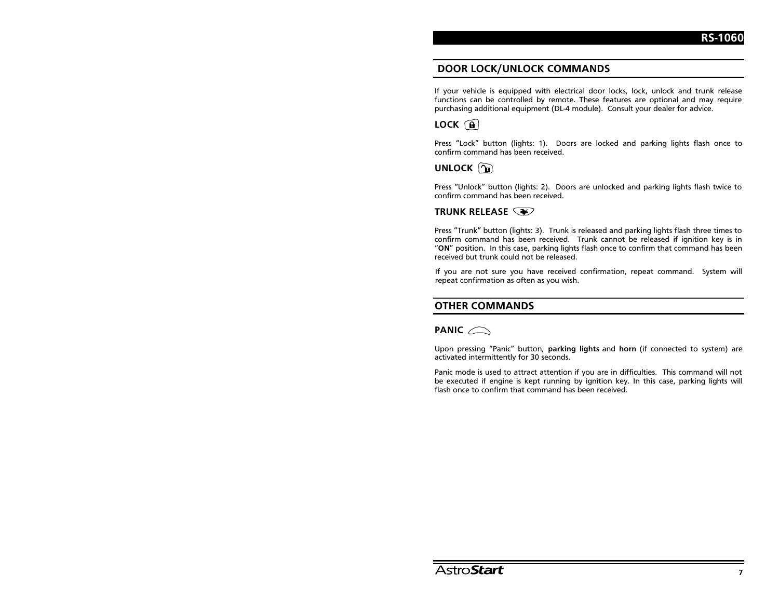## DOOR LOCK/UNLOCK COMMANDS

If your vehicle is equipped with electrical door locks, lock, unlock and trunk release functions can be controlled by remote. These features are optional and may require purchasing additional equipment (DL-4 module). Consult your dealer for advice.

# $LOCK$   $\bigcap$

Press "Lock" button (lights: 1). Doors are locked and parking lights flash once to confirm command has been received.

## UNLOCK a

Press "Unlock" button (lights: 2). Doors are unlocked and parking lights flash twice to confirm command has been received.

## TRUNK RELEASE  $\widehat{\llcorner\blacktriangleright\!\!\triangleright}$

Press "Trunk" button (lights: 3). Trunk is released and parking lights flash three times to confirm command has been received. Trunk cannot be released if ignition key is in "ON" position. In this case, parking lights flash once to confirm that command has been received but trunk could not be released.

If you are not sure you have received confirmation, repeat command. System will repeat confirmation as often as you wish.

## **OTHER COMMANDS**

## PANIC  $\curvearrowright$

Upon pressing "Panic" button, parking lights and horn (if connected to system) are activated intermittently for 30 seconds.

Panic mode is used to attract attention if you are in difficulties. This command will not be executed if engine is kept running by ignition key. In this case, parking lights will flash once to confirm that command has been received.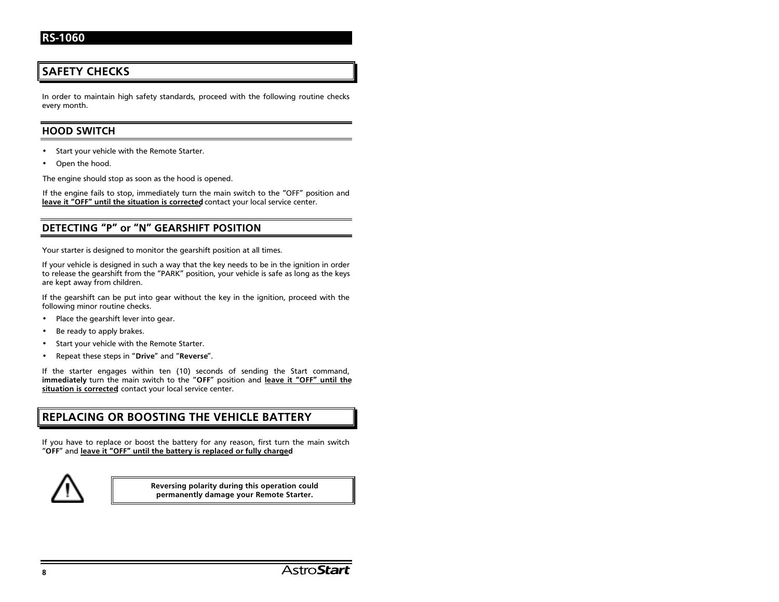# **SAFETY CHECKS**

In order to maintain high safety standards, proceed with the following routine checks every month.

## **HOOD SWITCH**

- •Start your vehicle with the Remote Starter.
- •Open the hood.

The engine should stop as soon as the hood is opened.

If the engine fails to stop, immediately turn the main switch to the "OFF" position and leave it "OFF" until the situation is corrected contact your local service center.

## DETECTING "P" or "N" GEARSHIFT POSITION

Your starter is designed to monitor the gearshift position at all times.

If your vehicle is designed in such a way that the key needs to be in the ignition in order to release the gearshift from the "PARK" position, your vehicle is safe as long as the keys are kept away from children.

If the gearshift can be put into gear without the key in the ignition, proceed with the following minor routine checks.

- •Place the gearshift lever into gear.
- •Be ready to apply brakes.
- •Start your vehicle with the Remote Starter.
- •Repeat these steps in "Drive" and "Reverse".

If the starter engages within ten  $(10)$  seconds of sending the Start command, immediately turn the main switch to the "OFF" position and leave it "OFF" until the situation is corrected contact your local service center.

# REPLACING OR BOOSTING THE VEHICLE BATTERY

If you have to replace or boost the battery for any reason, first turn the main switch "OFF" and leave it "OFF" until the battery is replaced or fully charged



Reversing polarity during this operation could permanently damage your Remote Starter.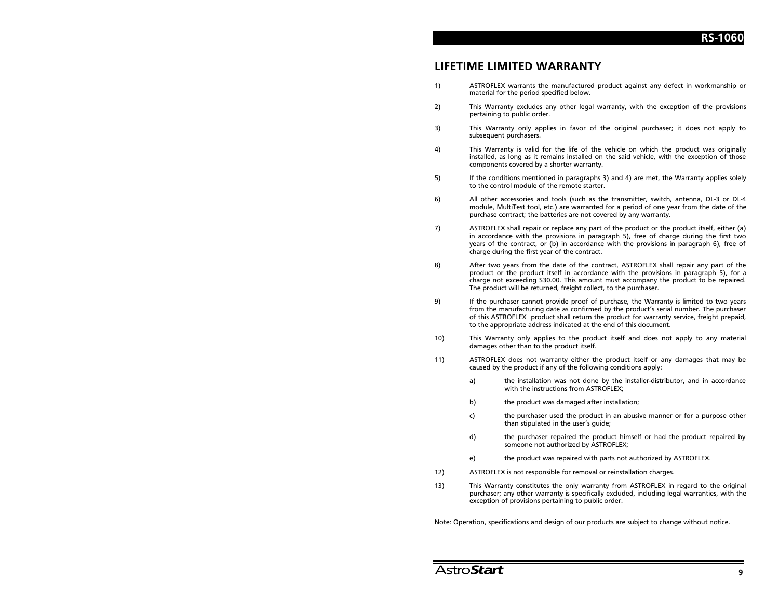# **I IFFTIME LIMITED WARRANTY**

- ASTROFLEX warrants the manufactured product against any defect in workmanship or  $1)$ material for the period specified below.
- $2)$ This Warranty excludes any other legal warranty, with the exception of the provisions pertaining to public order.
- 3) This Warranty only applies in favor of the original purchaser; it does not apply to subsequent purchasers.
- 4) This Warranty is valid for the life of the vehicle on which the product was originally installed, as long as it remains installed on the said vehicle, with the exception of those components covered by a shorter warranty.
- 5) If the conditions mentioned in paragraphs 3) and 4) are met, the Warranty applies solely to the control module of the remote starter.
- All other accessories and tools (such as the transmitter, switch, antenna, DL-3 or DL-4  $6)$ module, MultiTest tool, etc.) are warranted for a period of one year from the date of the purchase contract; the batteries are not covered by any warranty.
- 7) ASTROFLEX shall repair or replace any part of the product or the product itself, either (a) in accordance with the provisions in paragraph 5), free of charge during the first two years of the contract, or (b) in accordance with the provisions in paragraph 6), free of charge during the first year of the contract.
- $8)$ After two years from the date of the contract, ASTROFLEX shall repair any part of the product or the product itself in accordance with the provisions in paragraph 5), for a charge not exceeding \$30.00. This amount must accompany the product to be repaired. The product will be returned, freight collect, to the purchaser.
- If the purchaser cannot provide proof of purchase, the Warranty is limited to two years 9) from the manufacturing date as confirmed by the product's serial number. The purchaser of this ASTROFLEX product shall return the product for warranty service, freight prepaid, to the appropriate address indicated at the end of this document.
- This Warranty only applies to the product itself and does not apply to any material  $10)$ damages other than to the product itself.
- 11) ASTROFLEX does not warranty either the product itself or any damages that may be caused by the product if any of the following conditions apply:
	- the installation was not done by the installer-distributor, and in accordance a) with the instructions from ASTROFLEX;
	- the product was damaged after installation; b)
	- the purchaser used the product in an abusive manner or for a purpose other c) than stipulated in the user's guide;
	- $\mathsf{d}$ the purchaser repaired the product himself or had the product repaired by someone not authorized by ASTROFLEX;
	- $e)$ the product was repaired with parts not authorized by ASTROFLEX.
- 12) ASTROFLEX is not responsible for removal or reinstallation charges.
- $13)$ This Warranty constitutes the only warranty from ASTROFLEX in regard to the original purchaser; any other warranty is specifically excluded, including legal warranties, with the exception of provisions pertaining to public order.

Note: Operation, specifications and design of our products are subject to change without notice.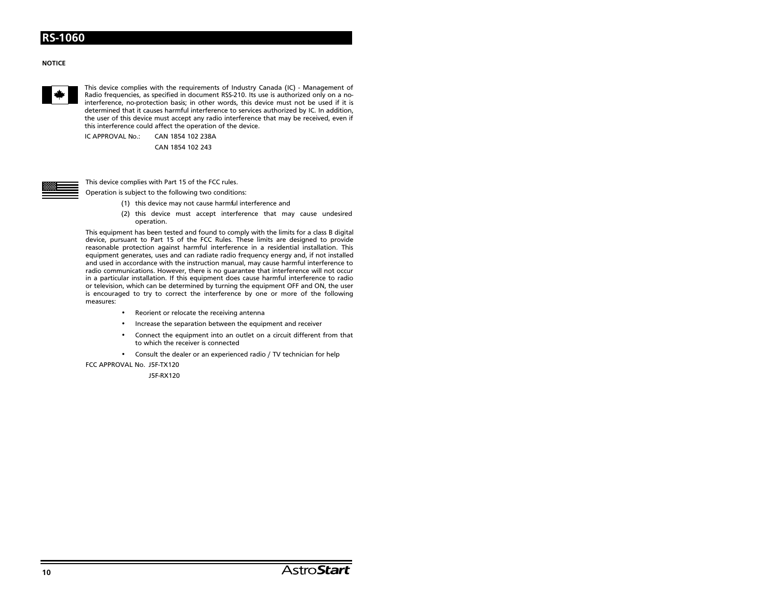#### **NOTICE**



This device complies with the requirements of Industry Canada (IC) - Management of Radio frequencies, as specified in document RSS-210. Its use is authorized only on a nointerference, no-protection basis; in other words, this device must not be used if it is determined that it causes harmful interference to services authorized by IC. In addition. the user of this device must accept any radio interference that may be received, even if this interference could affect the operation of the device.

IC APPROVAL No.: CAN 1854 102 238A

CAN 1854 102 243



This device complies with Part 15 of the FCC rules.

Operation is subject to the following two conditions:

- (1) this device may not cause harmful interference and
- (2) this device must accept interference that may cause undesired operation.

This equipment has been tested and found to comply with the limits for a class B digital device, pursuant to Part 15 of the FCC Rules. These limits are designed to provide reasonable protection against harmful interference in a residential installation. This equipment generates, uses and can radiate radio frequency energy and, if not installed and used in accordance with the instruction manual, may cause harmful interference to radio communications. However, there is no quarantee that interference will not occur in a particular installation. If this equipment does cause harmful interference to radio or television, which can be determined by turning the equipment OFF and ON, the user is encouraged to try to correct the interference by one or more of the following measures:

- Reorient or relocate the receiving antenna
- Increase the separation between the equipment and receiver
- Connect the equipment into an outlet on a circuit different from that to which the receiver is connected
- Consult the dealer or an experienced radio / TV technician for help

FCC APPROVAL No. J5F-TX120

J5F-RX120